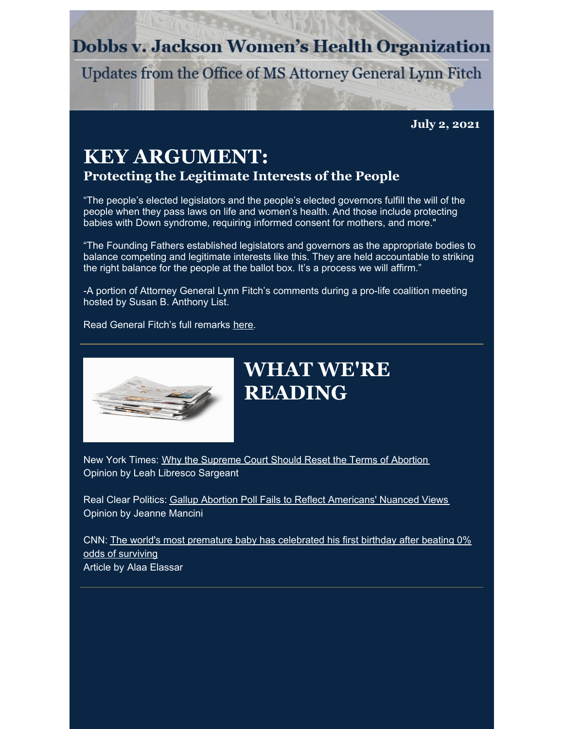### **Dobbs v. Jackson Women's Health Organization**

Updates from the Office of MS Attorney General Lynn Fitch

**July 2, 2021**

#### **KEY ARGUMENT: Protecting the Legitimate Interests of the People**

"The people's elected legislators and the people's elected governors fulfill the will of the people when they pass laws on life and women's health. And those include protecting babies with Down syndrome, requiring informed consent for mothers, and more."

"The Founding Fathers established legislators and governors as the appropriate bodies to balance competing and legitimate interests like this. They are held accountable to striking the right balance for the people at the ballot box. It's a process we will affirm."

-A portion of Attorney General Lynn Fitch's comments during a pro-life coalition meeting hosted by Susan B. Anthony List.

Read General Fitch's full remarks [here](https://www.ago.state.ms.us/2021/06/25/ag-lynn-fitchs-remarks-on-dobbs-v-jackson-womens-health/).



## **WHAT WE'RE READING**

New York Times: Why the [Supreme](https://www.nytimes.com/2021/06/18/opinion/dobbs-abortion-supreme-court.html?referringSource=articleShare) Court Should Reset the Terms of Abortion Opinion by Leah Libresco Sargeant

Real Clear Politics: Gallup Abortion Poll Fails to Reflect [Americans'](https://www.realclearpolitics.com/articles/2021/06/26/gallup_abortion_poll_fails_to_reflect_americans_nuanced_views_145993.html) Nuanced Views Opinion by Jeanne Mancini

CNN: The world's most premature baby has [celebrated](https://www.cnn.com/2021/06/19/us/worlds-most-premature-baby-birthday-trnd/index.html) his first birthday after beating 0% odds of surviving Article by Alaa Elassar